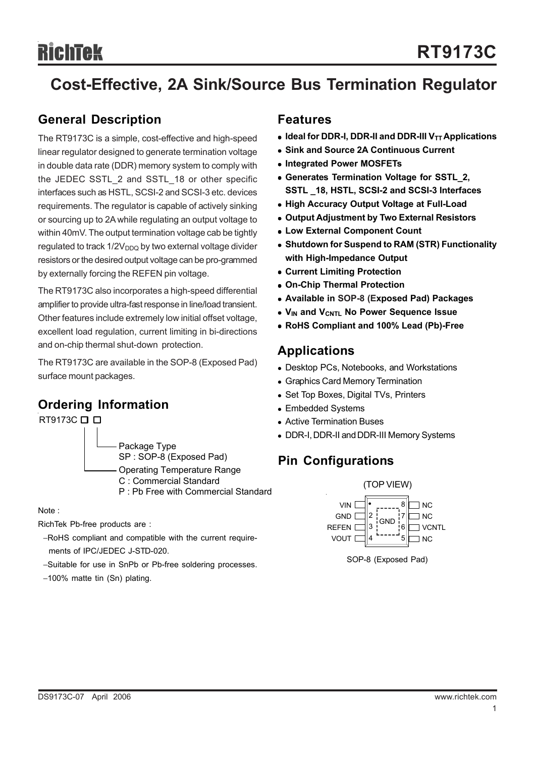# **Cost-Effective, 2A Sink/Source Bus Termination Regulator**

### **General Description**

The RT9173C is a simple, cost-effective and high-speed linear regulator designed to generate termination voltage in double data rate (DDR) memory system to comply with the JEDEC SSTL\_2 and SSTL\_18 or other specific interfaces such as HSTL, SCSI-2 and SCSI-3 etc. devices requirements. The regulator is capable of actively sinking or sourcing up to 2A while regulating an output voltage to within 40mV. The output termination voltage cab be tightly regulated to track  $1/2V<sub>DDQ</sub>$  by two external voltage divider resistors or the desired output voltage can be pro-grammed by externally forcing the REFEN pin voltage.

The RT9173C also incorporates a high-speed differential amplifier to provide ultra-fast response in line/load transient. Other features include extremely low initial offset voltage, excellent load regulation, current limiting in bi-directions and on-chip thermal shut-down protection.

The RT9173C are available in the SOP-8 (Exposed Pad) surface mount packages.

### **Ordering Information**



Note :

RichTek Pb-free products are :

- −RoHS compliant and compatible with the current require ments of IPC/JEDEC J-STD-020.
- −Suitable for use in SnPb or Pb-free soldering processes.
- −100% matte tin (Sn) plating.

### **Features**

- **Ideal for DDR-I, DDR-II and DDR-III V<sub>TT</sub> Applications**
- $\bullet$  **Sink and Source 2A Continuous Current**
- **Integrated Power MOSFETs**
- **Generates Termination Voltage for SSTL 2. SSTL \_18, HSTL, SCSI-2 and SCSI-3 Interfaces**
- **High Accuracy Output Voltage at Full-Load**
- **Output Adjustment by Two External Resistors**
- **Low External Component Count**
- **Shutdown for Suspend to RAM (STR) Functionality with High-Impedance Output**
- **Current Limiting Protection**
- <sup>z</sup> **On-Chip Thermal Protection**
- <sup>z</sup> **Available in SOP-8 (Exposed Pad) Packages**
- **V<sub>IN</sub> and V<sub>CNTL</sub> No Power Sequence Issue**
- <sup>z</sup> **RoHS Compliant and 100% Lead (Pb)-Free**

### **Applications**

- Desktop PCs, Notebooks, and Workstations
- Graphics Card Memory Termination
- Set Top Boxes, Digital TVs, Printers
- Embedded Systems
- Active Termination Buses
- DDR-I, DDR-II and DDR-III Memory Systems

### **Pin Configurations**



SOP-8 (Exposed Pad)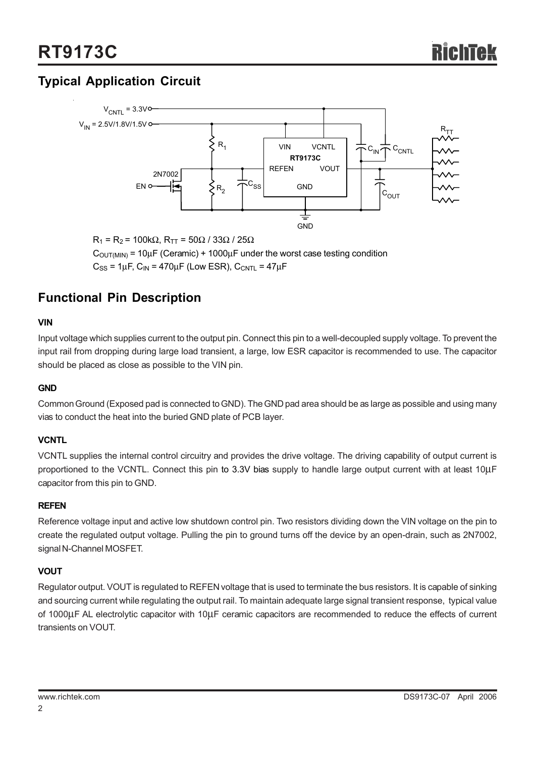## **Typical Application Circuit**



 $R_1$  = R<sub>2</sub> = 100kΩ, R<sub>TT</sub> = 50Ω / 33Ω / 25Ω  $C_{\text{OUT(MIN)}} = 10 \mu F$  (Ceramic) + 1000 $\mu$ F under the worst case testing condition  $C_{SS}$  = 1µF,  $C_{IN}$  = 470µF (Low ESR),  $C_{CNTL}$  = 47µF

### **Functional Pin Description**

#### **VIN**

Input voltage which supplies current to the output pin. Connect this pin to a well-decoupled supply voltage. To prevent the input rail from dropping during large load transient, a large, low ESR capacitor is recommended to use. The capacitor should be placed as close as possible to the VIN pin.

#### **GND**

Common Ground (Exposed pad is connected to GND). The GND pad area should be as large as possible and using many vias to conduct the heat into the buried GND plate of PCB layer.

#### **VCNTL**

VCNTL supplies the internal control circuitry and provides the drive voltage. The driving capability of output current is proportioned to the VCNTL. Connect this pin to 3.3V bias supply to handle large output current with at least 10μF capacitor from this pin to GND.

#### **REFEN**

Reference voltage input and active low shutdown control pin. Two resistors dividing down the VIN voltage on the pin to create the regulated output voltage. Pulling the pin to ground turns off the device by an open-drain, such as 2N7002, signal N-Channel MOSFET.

#### **VOUT**

Regulator output. VOUT is regulated to REFEN voltage that is used to terminate the bus resistors. It is capable of sinking and sourcing current while regulating the output rail. To maintain adequate large signal transient response, typical value of 1000μF AL electrolytic capacitor with 10μF ceramic capacitors are recommended to reduce the effects of current transients on VOUT.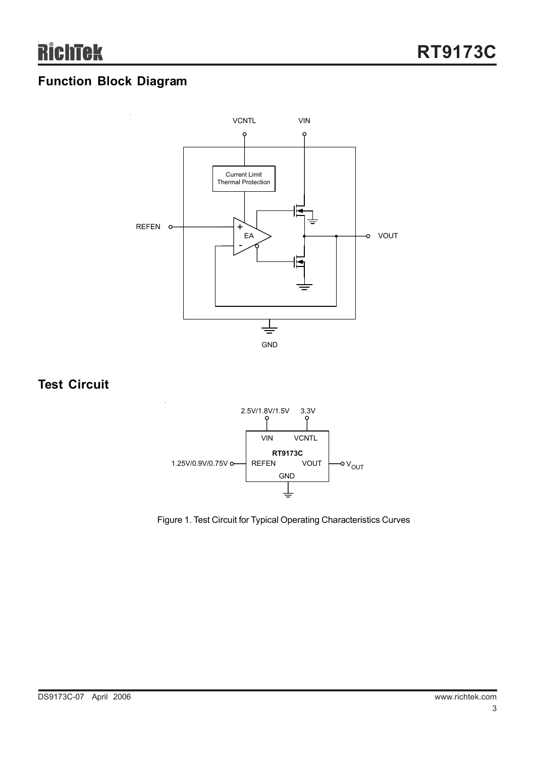### **Function Block Diagram**



### **Test Circuit**



Figure 1. Test Circuit for Typical Operating Characteristics Curves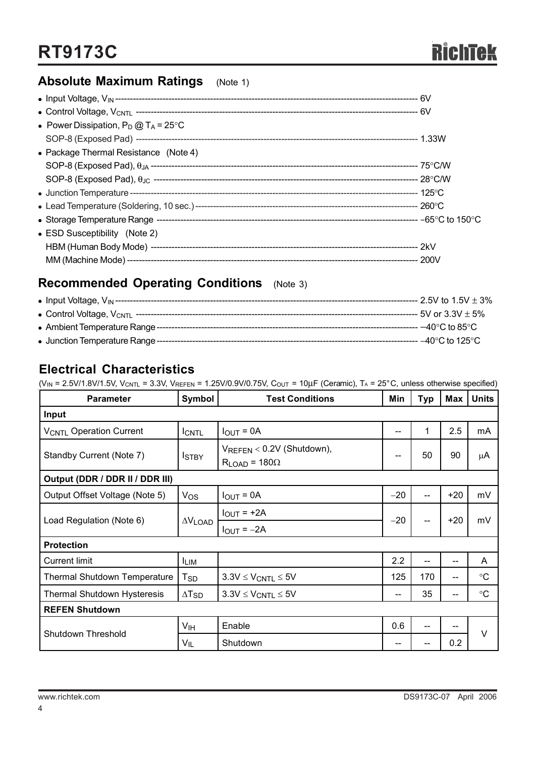### **Absolute Maximum Ratings** (Note 1)

| • Power Dissipation, $P_D @ T_A = 25^{\circ}C$ |  |
|------------------------------------------------|--|
|                                                |  |
| • Package Thermal Resistance (Note 4)          |  |
|                                                |  |
|                                                |  |
|                                                |  |
|                                                |  |
|                                                |  |
| $\bullet$ ESD Susceptibility (Note 2)          |  |
|                                                |  |
|                                                |  |

### **Recommended Operating Conditions** (Note 3)

| • Input Voltage, $V_{\text{IN}}$ --------- | --- 2.5V to 1.5V $\pm$ 3%            |
|--------------------------------------------|--------------------------------------|
| • Control Voltage, V <sub>CNTL</sub> ----- | $5V$ or 3.3V $\pm$ 5%                |
| • Ambient Temperature Range -              | $-40^{\circ}$ C to 85 $^{\circ}$ C . |
| • Junction Temperature Range --            | $-40^{\circ}$ C to 125 $^{\circ}$ C  |

### **Electrical Characteristics**

 $(V_{IN} = 2.5V/1.8V/1.5V, V_{CNTL} = 3.3V, V_{REFEN} = 1.25V/0.9V/0.75V, C<sub>OUT</sub> = 10µF (Ceramic), T<sub>A</sub> = 25°C, unless otherwise specified)$ 

| <b>Parameter</b>                    | Symbol                     | <b>Test Conditions</b>                                 | Min   | Typ | Max   | <b>Units</b>    |
|-------------------------------------|----------------------------|--------------------------------------------------------|-------|-----|-------|-----------------|
| Input                               |                            |                                                        |       |     |       |                 |
| <b>VCNTL Operation Current</b>      | <b>ICNTL</b>               | $I_{OUT} = 0A$                                         | --    | 1   | 2.5   | mA              |
| Standby Current (Note 7)            | <b>ISTBY</b>               | VREFEN < 0.2V (Shutdown),<br>$R_{LOAD}$ = 180 $\Omega$ | --    | 50  | 90    | μA              |
| Output (DDR / DDR II / DDR III)     |                            |                                                        |       |     |       |                 |
| Output Offset Voltage (Note 5)      | $V_{OS}$                   | $I_{OUT} = 0A$                                         | $-20$ | --  | $+20$ | mV              |
| Load Regulation (Note 6)            |                            | $I_{\text{OUT}} = +2A$                                 | $-20$ |     | $+20$ | mV              |
|                                     | $\Delta V$ LOAD            | $I_{OUT} = -2A$                                        |       |     |       |                 |
| <b>Protection</b>                   |                            |                                                        |       |     |       |                 |
| <b>Current limit</b>                | <b>ILIM</b>                |                                                        | 2.2   | --  | --    | A               |
| <b>Thermal Shutdown Temperature</b> | $\mathsf{T}_{\mathsf{SD}}$ | $3.3V \leq V_{CNTL} \leq 5V$                           | 125   | 170 | --    | $\rm ^{\circ}C$ |
| <b>Thermal Shutdown Hysteresis</b>  | $\Delta$ T <sub>SD</sub>   | $3.3V \leq V_{CNTL} \leq 5V$                           | --    | 35  | $-$   | $\rm ^{\circ}C$ |
| <b>REFEN Shutdown</b>               |                            |                                                        |       |     |       |                 |
| Shutdown Threshold                  | V <sub>IH</sub>            | Enable                                                 | 0.6   | --  |       | V               |
|                                     | VIL                        | Shutdown                                               |       |     | 0.2   |                 |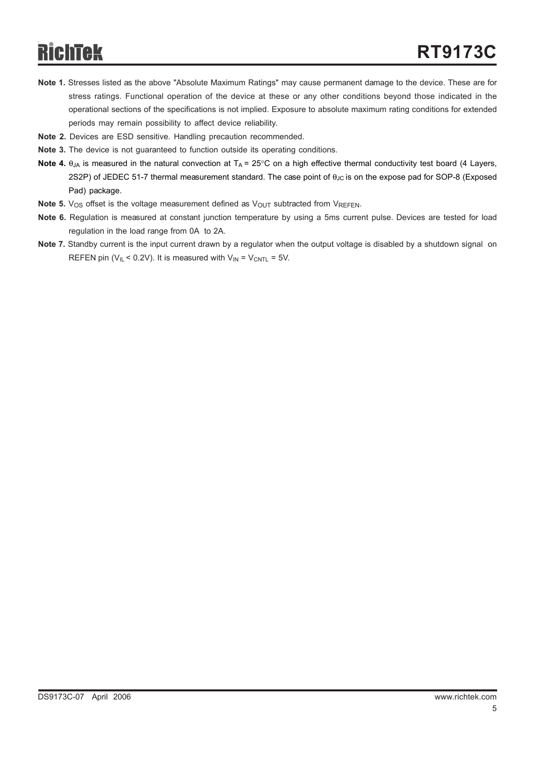- **Note 1.** Stresses listed as the above "Absolute Maximum Ratings" may cause permanent damage to the device. These are for stress ratings. Functional operation of the device at these or any other conditions beyond those indicated in the operational sections of the specifications is not implied. Exposure to absolute maximum rating conditions for extended periods may remain possibility to affect device reliability.
- **Note 2.** Devices are ESD sensitive. Handling precaution recommended.
- **Note 3.** The device is not guaranteed to function outside its operating conditions.
- **Note 4.**  $\theta_{JA}$  is measured in the natural convection at  $T_A = 25^\circ$ C on a high effective thermal conductivity test board (4 Layers, 2S2P) of JEDEC 51-7 thermal measurement standard. The case point of θ<sub>JC</sub> is on the expose pad for SOP-8 (Exposed Pad) package.
- **Note 5.**  $V_{OS}$  offset is the voltage measurement defined as  $V_{OUT}$  subtracted from  $V_{REFEN}$ .
- **Note 6.** Regulation is measured at constant junction temperature by using a 5ms current pulse. Devices are tested for load regulation in the load range from 0A to 2A.
- **Note 7.** Standby current is the input current drawn by a regulator when the output voltage is disabled by a shutdown signal on REFEN pin ( $V_{IL}$  < 0.2V). It is measured with  $V_{IN}$  =  $V_{CNTL}$  = 5V.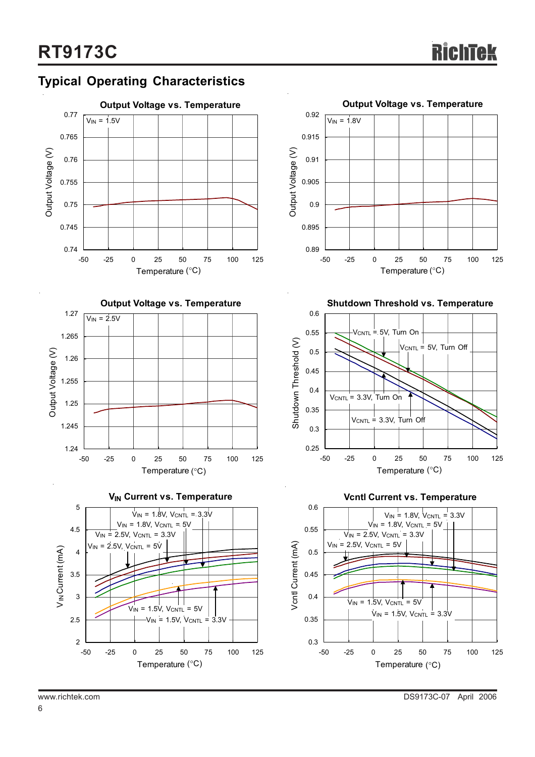### **Typical Operating Characteristics**











**Shutdown Threshold vs. Temperature**



**Vcntl Current vs. Temperature**

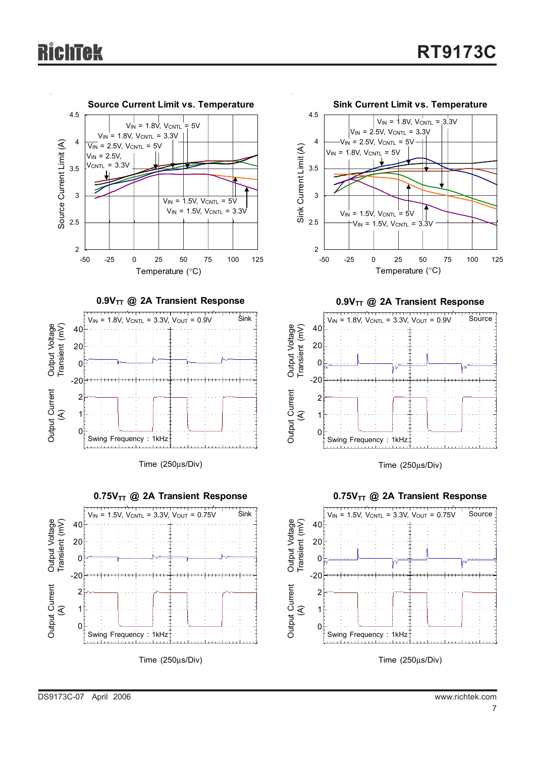

Time (250μs/Div)

Time (250μs/Div)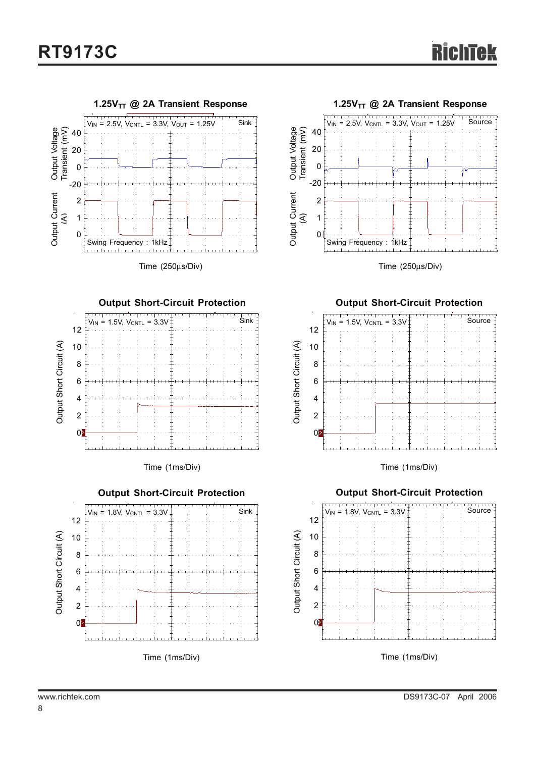











Time (250μs/Div)

#### **Output Short-Circuit Protection**



Time (1ms/Div)

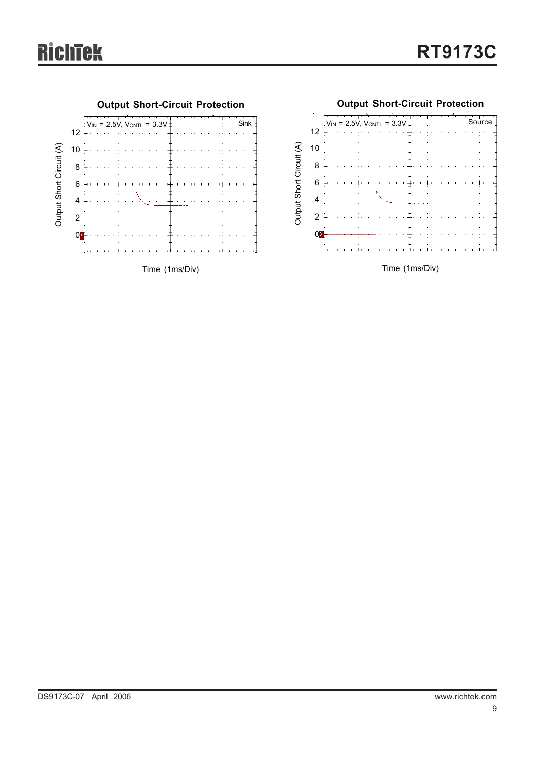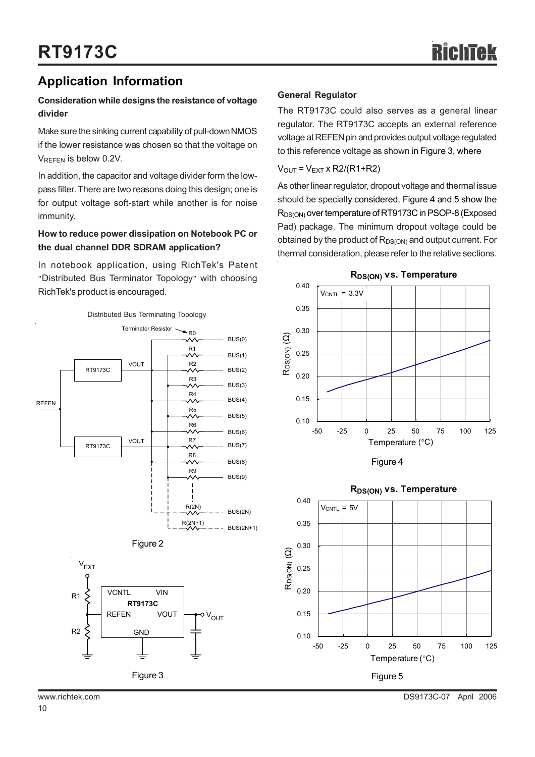### **Application Information**

#### **Consideration while designs the resistance of voltage divider**

Make sure the sinking current capability of pull-down NMOS if the lower resistance was chosen so that the voltage on VREFEN is below 0.2V.

In addition, the capacitor and voltage divider form the lowpass filter. There are two reasons doing this design; one is for output voltage soft-start while another is for noise immunity.

#### **How to reduce power dissipation on Notebook PC or the dual channel DDR SDRAM application?**

In notebook application, using RichTek's Patent "Distributed Bus Terminator Topology" with choosing RichTek's product is encouraged.



#### **General Regulator**

The RT9173C could also serves as a general linear regulator. The RT9173C accepts an external reference voltage at REFEN pin and provides output voltage regulated to this reference voltage as shown in Figure 3, where

 $V_{\text{OUT}} = V_{\text{EXT}}$  x R2/(R1+R2)

As other linear regulator, dropout voltage and thermal issue should be specially considered. Figure 4 and 5 show the R<sub>DS(ON)</sub> over temperature of RT9173C in PSOP-8 (Exposed Pad) package. The minimum dropout voltage could be obtained by the product of  $R_{DS(ON)}$  and output current. For thermal consideration, please refer to the relative sections.







#### www.richtek.com DS9173C-07 April 2006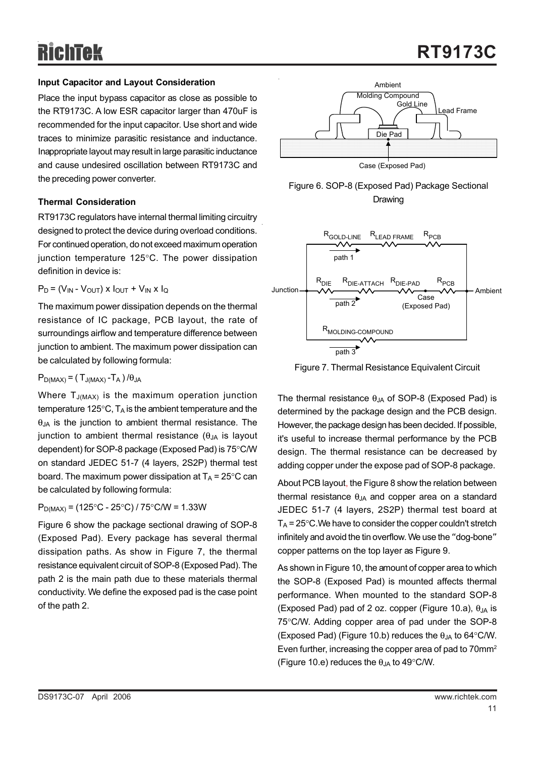#### **Input Capacitor and Layout Consideration**

Place the input bypass capacitor as close as possible to the RT9173C. A low ESR capacitor larger than 470uF is recommended for the input capacitor. Use short and wide traces to minimize parasitic resistance and inductance. Inappropriate layout may result in large parasitic inductance and cause undesired oscillation between RT9173C and the preceding power converter.

#### **Thermal Consideration**

RT9173C regulators have internal thermal limiting circuitry designed to protect the device during overload conditions. For continued operation, do not exceed maximum operation junction temperature 125°C. The power dissipation definition in device is:

$$
P_D = (V_{IN} - V_{OUT}) \times I_{OUT} + V_{IN} \times I_Q
$$

The maximum power dissipation depends on the thermal resistance of IC package, PCB layout, the rate of surroundings airflow and temperature difference between junction to ambient. The maximum power dissipation can be calculated by following formula:

 $P_{D(MAX)} = (T_{J(MAX)} - T_A) / \theta_{JA}$ 

Where  $T_{J(MAX)}$  is the maximum operation junction temperature 125 $\degree$ C, T<sub>A</sub> is the ambient temperature and the  $\theta_{JA}$  is the junction to ambient thermal resistance. The junction to ambient thermal resistance  $(\theta_{JA}$  is layout dependent) for SOP-8 package (Exposed Pad) is 75°C/W on standard JEDEC 51-7 (4 layers, 2S2P) thermal test board. The maximum power dissipation at  $T_A = 25^{\circ}$ C can be calculated by following formula:

 $P_{D(MAX)} = (125\degree C - 25\degree C) / 75\degree C/W = 1.33W$ 

Figure 6 show the package sectional drawing of SOP-8 (Exposed Pad). Every package has several thermal dissipation paths. As show in Figure 7, the thermal resistance equivalent circuit of SOP-8 (Exposed Pad). The path 2 is the main path due to these materials thermal conductivity. We define the exposed pad is the case point of the path 2.







Figure 7. Thermal Resistance Equivalent Circuit

The thermal resistance  $\theta_{JA}$  of SOP-8 (Exposed Pad) is determined by the package design and the PCB design. However, the package design has been decided. If possible, it's useful to increase thermal performance by the PCB design. The thermal resistance can be decreased by adding copper under the expose pad of SOP-8 package.

About PCB layout, the Figure 8 show the relation between thermal resistance  $\theta_{JA}$  and copper area on a standard JEDEC 51-7 (4 layers, 2S2P) thermal test board at  $T_A$  = 25 $\degree$ C. We have to consider the copper couldn't stretch infinitely and avoid the tin overflow. We use the "dog-bone" copper patterns on the top layer as Figure 9.

As shown in Figure 10, the amount of copper area to which the SOP-8 (Exposed Pad) is mounted affects thermal performance. When mounted to the standard SOP-8 (Exposed Pad) pad of 2 oz. copper (Figure 10.a),  $\theta_{\text{IA}}$  is 75°C/W. Adding copper area of pad under the SOP-8 (Exposed Pad) (Figure 10.b) reduces the  $\theta_{\text{IA}}$  to 64°C/W. Even further, increasing the copper area of pad to 70mm<sup>2</sup> (Figure 10.e) reduces the  $\theta_{JA}$  to 49°C/W.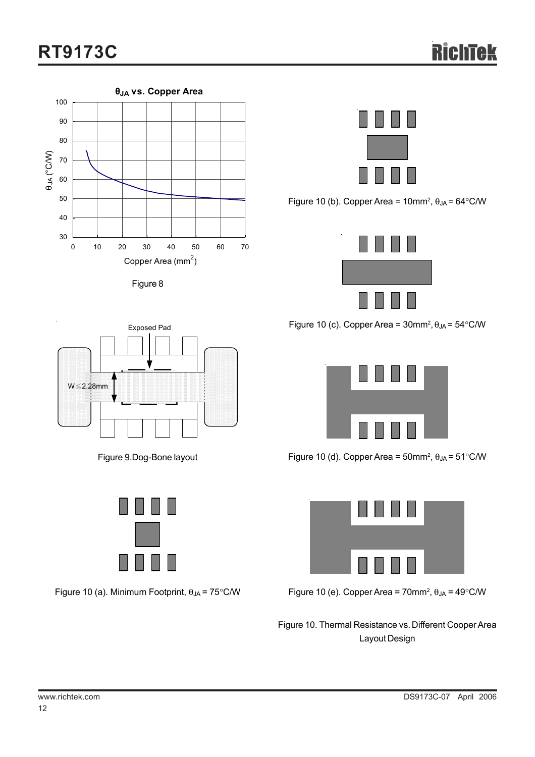# **RT9173C**







Figure 10 (b). Copper Area =  $10$ mm<sup>2</sup>,  $\theta_{JA}$  =  $64^{\circ}$ C/W



Figure 10 (c). Copper Area =  $30$ mm<sup>2</sup>,  $\theta_{JA}$  =  $54^{\circ}$ C/W



Figure 10 (d). Copper Area = 50mm<sup>2</sup>,  $\theta_{JA}$  = 51°C/W



Figure 10 (e). Copper Area = 70mm<sup>2</sup>,  $\theta_{JA}$  = 49°C/W

Figure 10. Thermal Resistance vs. Different Cooper Area Layout Design



Figure 9.Dog-Bone layout



Figure 10 (a). Minimum Footprint,  $\theta_{JA} = 75^{\circ}$ C/W